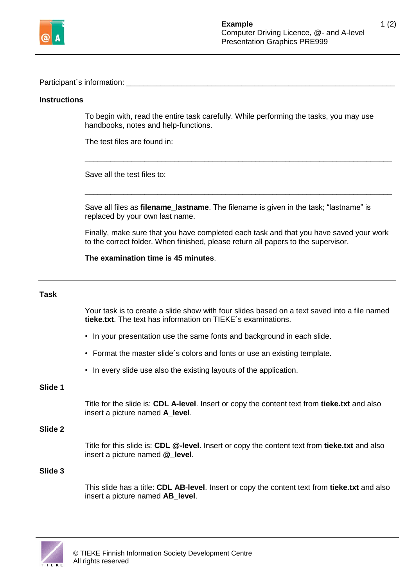

Participant's information:

### **Instructions**

To begin with, read the entire task carefully. While performing the tasks, you may use handbooks, notes and help-functions.

\_\_\_\_\_\_\_\_\_\_\_\_\_\_\_\_\_\_\_\_\_\_\_\_\_\_\_\_\_\_\_\_\_\_\_\_\_\_\_\_\_\_\_\_\_\_\_\_\_\_\_\_\_\_\_\_\_\_\_\_\_\_\_\_\_\_\_\_\_\_\_\_

\_\_\_\_\_\_\_\_\_\_\_\_\_\_\_\_\_\_\_\_\_\_\_\_\_\_\_\_\_\_\_\_\_\_\_\_\_\_\_\_\_\_\_\_\_\_\_\_\_\_\_\_\_\_\_\_\_\_\_\_\_\_\_\_\_\_\_\_\_\_\_\_

The test files are found in:

Save all the test files to:

Save all files as **filename\_lastname**. The filename is given in the task; "lastname" is replaced by your own last name.

Finally, make sure that you have completed each task and that you have saved your work to the correct folder. When finished, please return all papers to the supervisor.

**The examination time is 45 minutes**.

#### **Task**

Your task is to create a slide show with four slides based on a text saved into a file named **tieke.txt**. The text has information on TIEKE´s examinations.

- In your presentation use the same fonts and background in each slide.
- Format the master slide´s colors and fonts or use an existing template.
- In every slide use also the existing layouts of the application.

# **Slide 1**

Title for the slide is: **CDL A-level**. Insert or copy the content text from **tieke.txt** and also insert a picture named **A\_level**.

### **Slide 2**

Title for this slide is: **CDL @-level**. Insert or copy the content text from **tieke.txt** and also insert a picture named **@\_level**.

### **Slide 3**

This slide has a title: **CDL AB-level**. Insert or copy the content text from **tieke.txt** and also insert a picture named **AB\_level**.